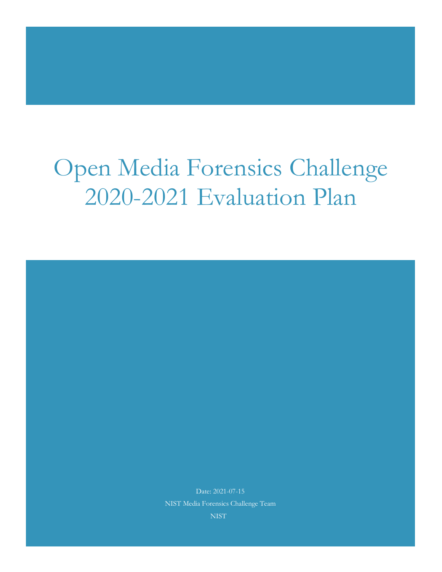# Open Media Forensics Challenge 2020-2021 Evaluation Plan

Date: 2021-07-15 NIST Media Forensics Challenge Team NIST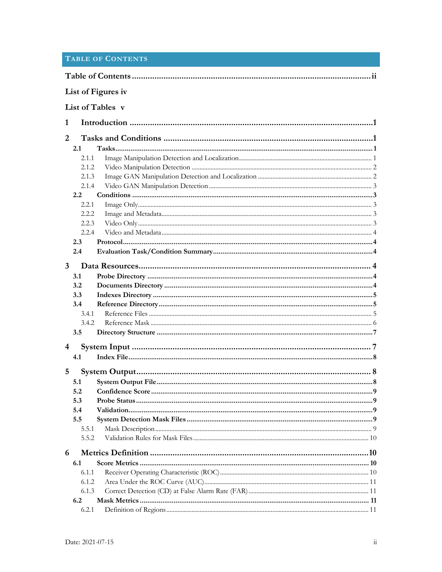|  |  |  | <b>TABLE OF CONTENTS</b> |  |
|--|--|--|--------------------------|--|
|--|--|--|--------------------------|--|

| List of Figures iv |                  |    |
|--------------------|------------------|----|
|                    | List of Tables v |    |
| 1                  |                  |    |
| 2                  |                  |    |
| 2.1                |                  |    |
| 2.1.1              |                  |    |
| 2.1.2              |                  |    |
| 2.1.3              |                  |    |
| 2.1.4              |                  |    |
| 2.2                |                  |    |
| 2.2.1              |                  |    |
| 2.2.2              |                  |    |
| 2.2.3              |                  |    |
| 2.2.4              |                  |    |
| 2.3                |                  |    |
| 2.4                |                  |    |
| $\mathbf{3}$       |                  |    |
| 3.1                |                  |    |
| 3.2                |                  |    |
| 3.3                |                  |    |
| 3.4                |                  |    |
| 3.4.1              |                  |    |
| 3.4.2              |                  |    |
| 3.5                |                  |    |
|                    |                  |    |
| 4                  |                  |    |
| 4.1                |                  |    |
| 5                  |                  |    |
| 5.1                |                  |    |
| 5.2                |                  | .9 |
| 5.3                |                  |    |
| 5.4                |                  |    |
| 5.5                |                  |    |
| 5.5.1              |                  |    |
| 5.5.2              |                  |    |
| 6                  |                  |    |
| 6.1                |                  |    |
| 6.1.1              |                  |    |
| 6.1.2              |                  |    |
| 6.1.3              |                  |    |
| 6.2                |                  |    |
| 6.2.1              |                  |    |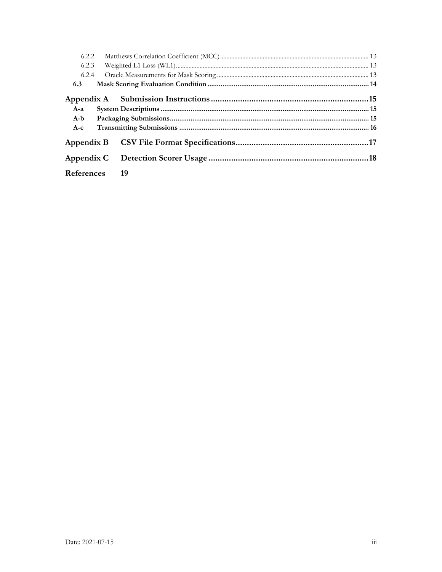| 6.2.2      |      |  |
|------------|------|--|
| 6.2.3      |      |  |
| 6.2.4      |      |  |
| 6.3        |      |  |
|            |      |  |
| $A-a$      |      |  |
| $A-b$      |      |  |
| $A-c$      |      |  |
|            |      |  |
|            |      |  |
| References | - 19 |  |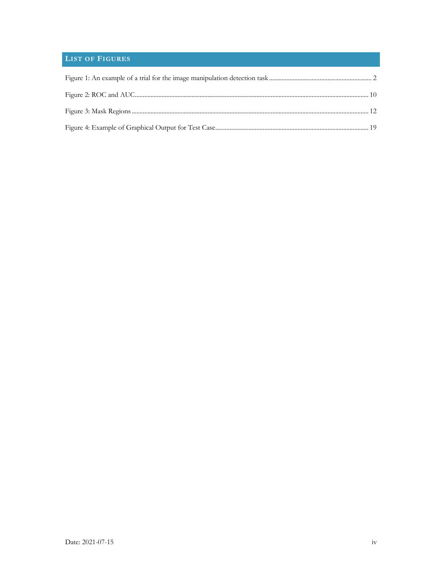# **LIST OF FIGURES**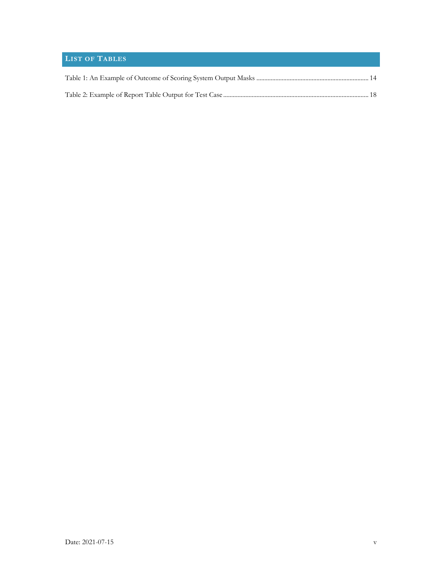# **LIST OF TABLES**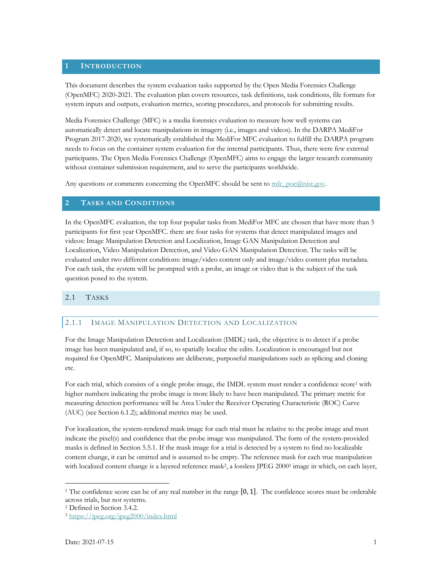## **1 INTRODUCTION**

This document describes the system evaluation tasks supported by the Open Media Forensics Challenge (OpenMFC) 2020-2021. The evaluation plan covers resources, task definitions, task conditions, file formats for system inputs and outputs, evaluation metrics, scoring procedures, and protocols for submitting results.

Media Forensics Challenge (MFC) is a media forensics evaluation to measure how well systems can automatically detect and locate manipulations in imagery (i.e., images and videos). In the DARPA MediFor Program 2017-2020, we systematically established the MediFor MFC evaluation to fulfill the DARPA program needs to focus on the container system evaluation for the internal participants. Thus, there were few external participants. The Open Media Forensics Challenge (OpenMFC) aims to engage the larger research community without container submission requirement, and to serve the participants worldwide.

Any questions or comments concerning the OpenMFC should be sent to  $mfc$  poc $@nist.gov$ .

## **2 TASKS AND CONDITIONS**

In the OpenMFC evaluation, the top four popular tasks from MediFor MFC are chosen that have more than 5 participants for first year OpenMFC. there are four tasks for systems that detect manipulated images and videos: Image Manipulation Detection and Localization, Image GAN Manipulation Detection and Localization, Video Manipulation Detection, and Video GAN Manipulation Detection. The tasks will be evaluated under two different conditions: image/video content only and image/video content plus metadata. For each task, the system will be prompted with a probe, an image or video that is the subject of the task question posed to the system.

## 2.1 TASKS

## 2.1.1 IMAGE MANIPULATION DETECTION AND LOCALIZATION

For the Image Manipulation Detection and Localization (IMDL) task, the objective is to detect if a probe image has been manipulated and, if so, to spatially localize the edits. Localization is encouraged but not required for OpenMFC. Manipulations are deliberate, purposeful manipulations such as splicing and cloning etc.

For each trial, which consists of a single probe image, the IMDL system must render a confidence score<sup>1</sup> with higher numbers indicating the probe image is more likely to have been manipulated. The primary metric for measuring detection performance will be Area Under the Receiver Operating Characteristic (ROC) Curve (AUC) (see Section 6.1.2); additional metrics may be used.

For localization, the system-rendered mask image for each trial must be relative to the probe image and must indicate the pixel(s) and confidence that the probe image was manipulated. The form of the system-provided masks is defined in Section 5.5.1. If the mask image for a trial is detected by a system to find no localizable content change, it can be omitted and is assumed to be empty. The reference mask for each true manipulation with localized content change is a layered reference mask<sup>2</sup>, a lossless JPEG 2000<sup>3</sup> image in which, on each layer,

<sup>1</sup> The confidence score can be of any real number in the range [0, 1]. The confidence scores must be orderable across trials, but not systems.

<sup>2</sup> Defined in Section 3.4.2.

<sup>3</sup> https://jpeg.org/jpeg2000/index.html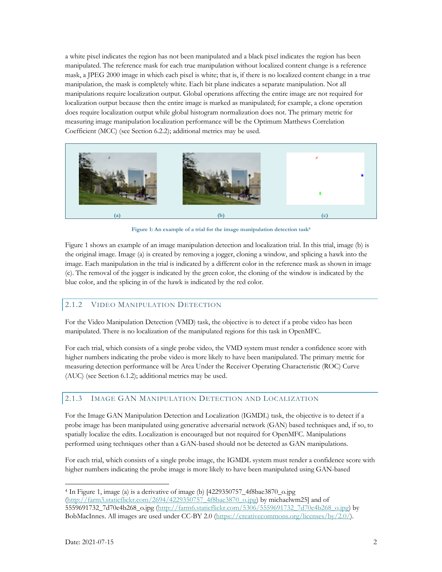a white pixel indicates the region has not been manipulated and a black pixel indicates the region has been manipulated. The reference mask for each true manipulation without localized content change is a reference mask, a JPEG 2000 image in which each pixel is white; that is, if there is no localized content change in a true manipulation, the mask is completely white. Each bit plane indicates a separate manipulation. Not all manipulations require localization output. Global operations affecting the entire image are not required for localization output because then the entire image is marked as manipulated; for example, a clone operation does require localization output while global histogram normalization does not. The primary metric for measuring image manipulation localization performance will be the Optimum Matthews Correlation Coefficient (MCC) (see Section 6.2.2); additional metrics may be used.



**Figure 1: An example of a trial for the image manipulation detection task4**

Figure 1 shows an example of an image manipulation detection and localization trial. In this trial, image (b) is the original image. Image (a) is created by removing a jogger, cloning a window, and splicing a hawk into the image. Each manipulation in the trial is indicated by a different color in the reference mask as shown in image (c). The removal of the jogger is indicated by the green color, the cloning of the window is indicated by the blue color, and the splicing in of the hawk is indicated by the red color.

## 2.1.2 VIDEO MANIPULATION DETECTION

For the Video Manipulation Detection (VMD) task, the objective is to detect if a probe video has been manipulated. There is no localization of the manipulated regions for this task in OpenMFC.

For each trial, which consists of a single probe video, the VMD system must render a confidence score with higher numbers indicating the probe video is more likely to have been manipulated. The primary metric for measuring detection performance will be Area Under the Receiver Operating Characteristic (ROC) Curve (AUC) (see Section 6.1.2); additional metrics may be used.

## 2.1.3 IMAGE GAN MANIPULATION DETECTION AND LOCALIZATION

For the Image GAN Manipulation Detection and Localization (IGMDL) task, the objective is to detect if a probe image has been manipulated using generative adversarial network (GAN) based techniques and, if so, to spatially localize the edits. Localization is encouraged but not required for OpenMFC. Manipulations performed using techniques other than a GAN-based should not be detected as GAN manipulations.

For each trial, which consists of a single probe image, the IGMDL system must render a confidence score with higher numbers indicating the probe image is more likely to have been manipulated using GAN-based

<sup>4</sup> In Figure 1, image (a) is a derivative of image (b) [4229350757\_4f8bae3870\_o.jpg (http://farm3.staticflickr.com/2694/4229350757\_4f8bae3870\_o.jpg) by michaelwm25] and of 5559691732\_7d70e4b268\_o.jpg (http://farm6.staticflickr.com/5306/5559691732\_7d70e4b268\_o.jpg) by BobMacInnes. All images are used under CC-BY 2.0 (https://creativecommons.org/licenses/by/2.0/).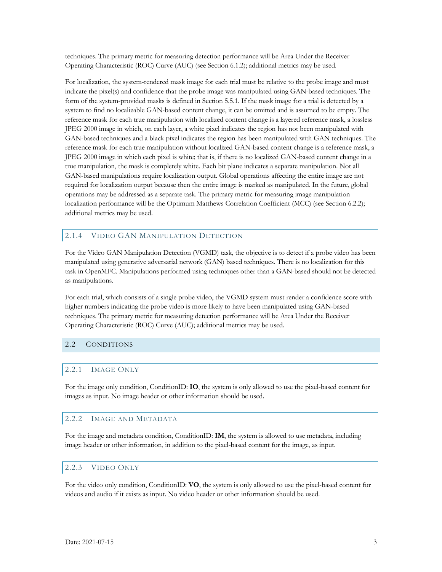techniques. The primary metric for measuring detection performance will be Area Under the Receiver Operating Characteristic (ROC) Curve (AUC) (see Section 6.1.2); additional metrics may be used.

For localization, the system-rendered mask image for each trial must be relative to the probe image and must indicate the pixel(s) and confidence that the probe image was manipulated using GAN-based techniques. The form of the system-provided masks is defined in Section 5.5.1. If the mask image for a trial is detected by a system to find no localizable GAN-based content change, it can be omitted and is assumed to be empty. The reference mask for each true manipulation with localized content change is a layered reference mask, a lossless JPEG 2000 image in which, on each layer, a white pixel indicates the region has not been manipulated with GAN-based techniques and a black pixel indicates the region has been manipulated with GAN techniques. The reference mask for each true manipulation without localized GAN-based content change is a reference mask, a JPEG 2000 image in which each pixel is white; that is, if there is no localized GAN-based content change in a true manipulation, the mask is completely white. Each bit plane indicates a separate manipulation. Not all GAN-based manipulations require localization output. Global operations affecting the entire image are not required for localization output because then the entire image is marked as manipulated. In the future, global operations may be addressed as a separate task. The primary metric for measuring image manipulation localization performance will be the Optimum Matthews Correlation Coefficient (MCC) (see Section 6.2.2); additional metrics may be used.

## 2.1.4 VIDEO GAN MANIPULATION DETECTION

For the Video GAN Manipulation Detection (VGMD) task, the objective is to detect if a probe video has been manipulated using generative adversarial network (GAN) based techniques. There is no localization for this task in OpenMFC. Manipulations performed using techniques other than a GAN-based should not be detected as manipulations.

For each trial, which consists of a single probe video, the VGMD system must render a confidence score with higher numbers indicating the probe video is more likely to have been manipulated using GAN-based techniques. The primary metric for measuring detection performance will be Area Under the Receiver Operating Characteristic (ROC) Curve (AUC); additional metrics may be used.

## 2.2 CONDITIONS

## 2.2.1 IMAGE ONLY

For the image only condition, ConditionID: **IO**, the system is only allowed to use the pixel-based content for images as input. No image header or other information should be used.

## 2.2.2 IMAGE AND METADATA

For the image and metadata condition, ConditionID: **IM**, the system is allowed to use metadata, including image header or other information, in addition to the pixel-based content for the image, as input.

#### 2.2.3 VIDEO ONLY

For the video only condition, ConditionID: **VO**, the system is only allowed to use the pixel-based content for videos and audio if it exists as input. No video header or other information should be used.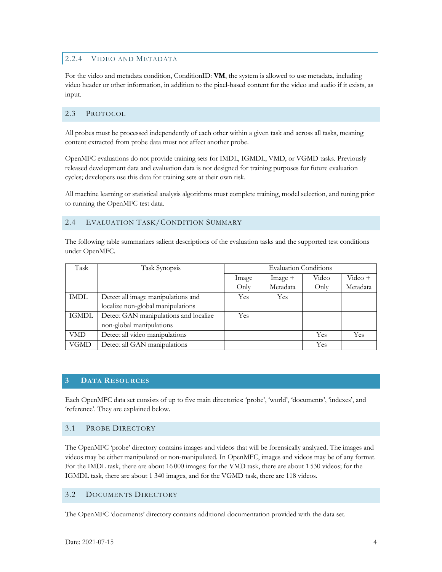## 2.2.4 VIDEO AND METADATA

For the video and metadata condition, ConditionID: **VM**, the system is allowed to use metadata, including video header or other information, in addition to the pixel-based content for the video and audio if it exists, as input.

## 2.3 PROTOCOL

All probes must be processed independently of each other within a given task and across all tasks, meaning content extracted from probe data must not affect another probe.

OpenMFC evaluations do not provide training sets for IMDL, IGMDL, VMD, or VGMD tasks. Previously released development data and evaluation data is not designed for training purposes for future evaluation cycles; developers use this data for training sets at their own risk.

All machine learning or statistical analysis algorithms must complete training, model selection, and tuning prior to running the OpenMFC test data.

## 2.4 EVALUATION TASK/CONDITION SUMMARY

The following table summarizes salient descriptions of the evaluation tasks and the supported test conditions under OpenMFC.

| Task         | Task Synopsis                         |            | <b>Evaluation Conditions</b> |       |            |
|--------------|---------------------------------------|------------|------------------------------|-------|------------|
|              |                                       | Image      | $Image +$                    | Video | $Video +$  |
|              |                                       | Only       | Metadata                     | Only  | Metadata   |
| IMDL         | Detect all image manipulations and    | Yes        | Yes                          |       |            |
|              | localize non-global manipulations     |            |                              |       |            |
| <b>IGMDL</b> | Detect GAN manipulations and localize | <b>Yes</b> |                              |       |            |
|              | non-global manipulations              |            |                              |       |            |
| <b>VMD</b>   | Detect all video manipulations        |            |                              | Yes   | <b>Yes</b> |
| <b>VGMD</b>  | Detect all GAN manipulations          |            |                              | Yes   |            |

## **3 DATA RESOURCES**

Each OpenMFC data set consists of up to five main directories: 'probe', 'world', 'documents', 'indexes', and 'reference'. They are explained below.

## 3.1 PROBE DIRECTORY

The OpenMFC 'probe' directory contains images and videos that will be forensically analyzed. The images and videos may be either manipulated or non-manipulated. In OpenMFC, images and videos may be of any format. For the IMDL task, there are about 16 000 images; for the VMD task, there are about 1 530 videos; for the IGMDL task, there are about 1 340 images, and for the VGMD task, there are 118 videos.

## 3.2 DOCUMENTS DIRECTORY

The OpenMFC 'documents' directory contains additional documentation provided with the data set.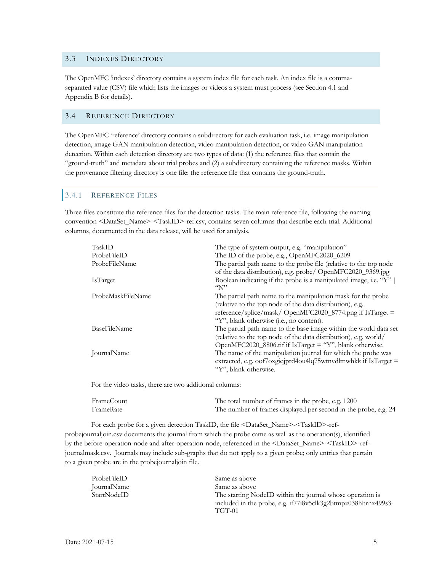## 3.3 INDEXES DIRECTORY

The OpenMFC 'indexes' directory contains a system index file for each task. An index file is a commaseparated value (CSV) file which lists the images or videos a system must process (see Section 4.1 and Appendix B for details).

## 3.4 REFERENCE DIRECTORY

The OpenMFC 'reference' directory contains a subdirectory for each evaluation task, i.e. image manipulation detection, image GAN manipulation detection, video manipulation detection, or video GAN manipulation detection. Within each detection directory are two types of data: (1) the reference files that contain the "ground-truth" and metadata about trial probes and (2) a subdirectory containing the reference masks. Within the provenance filtering directory is one file: the reference file that contains the ground-truth.

#### 3.4.1 REFERENCE FILES

Three files constitute the reference files for the detection tasks. The main reference file, following the naming convention <DataSet\_Name>-<TaskID>-ref.csv, contains seven columns that describe each trial. Additional columns, documented in the data release, will be used for analysis.

| TaskID                       | The type of system output, e.g. "manipulation"                                                                                                                                   |
|------------------------------|----------------------------------------------------------------------------------------------------------------------------------------------------------------------------------|
| ProbeFileID<br>ProbeFileName | The ID of the probe, e.g., OpenMFC2020_6209<br>The partial path name to the probe file (relative to the top node                                                                 |
| <b>IsTarget</b>              | of the data distribution), e.g. probe/ OpenMFC2020_9369.jpg<br>Boolean indicating if the probe is a manipulated image, i.e. "Y"<br>$\sqrt{\mathcal{N}}$                          |
| ProbeMaskFileName            | The partial path name to the manipulation mask for the probe                                                                                                                     |
|                              | (relative to the top node of the data distribution), e.g.<br>reference/splice/mask/ OpenMFC2020_8774.png if IsTarget =<br>"Y", blank otherwise (i.e., no content).               |
| BaseFileName                 | The partial path name to the base image within the world data set<br>(relative to the top node of the data distribution), e.g. world/                                            |
|                              | OpenMFC2020_8806.tif if IsTarget = "Y", blank otherwise.                                                                                                                         |
| JournalName                  | The name of the manipulation journal for which the probe was<br>extracted, e.g. $\mathrm{cof7}$ oxgiqjprd4 $\mathrm{ou4lq75}$ wtnvdlmwhkk if IsTarget =<br>"Y", blank otherwise. |

For the video tasks, there are two additional columns:

| <b>FrameCount</b> | The total number of frames in the probe, e.g. 1200              |
|-------------------|-----------------------------------------------------------------|
| FrameRate         | The number of frames displayed per second in the probe, e.g. 24 |

For each probe for a given detection TaskID, the file <DataSet\_Name>-<TaskID>-refprobejournaljoin.csv documents the journal from which the probe came as well as the operation(s), identified by the before-operation-node and after-operation-node, referenced in the <DataSet\_Name>-<TaskID>-refjournalmask.csv. Journals may include sub-graphs that do not apply to a given probe; only entries that pertain to a given probe are in the probejournaljoin file.

| ProbeFileID | Same as above                                                 |
|-------------|---------------------------------------------------------------|
| JournalName | Same as above                                                 |
| StartNodeID | The starting NodeID within the journal whose operation is     |
|             | included in the probe, e.g. if77i8v5clk3g2btmpz038hhrnx499s3- |
|             | TGT-01                                                        |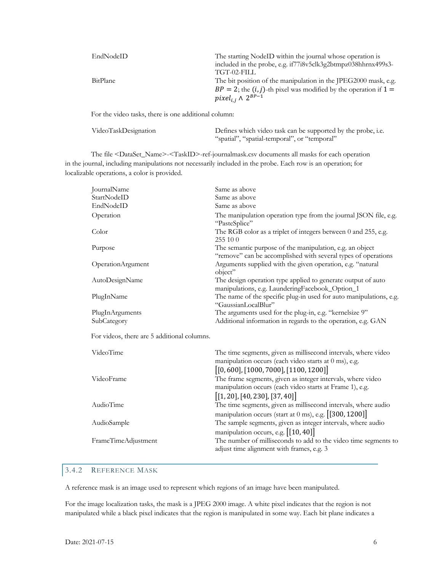| EndNodeID | The starting NodeID within the journal whose operation is<br>included in the probe, e.g. if 77i8v5clk3g2btmpz038hhrnx499s3-<br>TGT-02-FILL                                            |
|-----------|---------------------------------------------------------------------------------------------------------------------------------------------------------------------------------------|
| BitPlane  | The bit position of the manipulation in the JPEG2000 mask, e.g.<br>$BP = 2$ ; the $(i, j)$ -th pixel was modified by the operation if $1 =$<br>pixel <sub>i.i</sub> $\wedge 2^{BP-1}$ |

For the video tasks, there is one additional column:

| VideoTaskDesignation | Defines which video task can be supported by the probe, i.e. |
|----------------------|--------------------------------------------------------------|
|                      | "spatial", "spatial-temporal", or "temporal"                 |

The file <DataSet\_Name>-<TaskID>-ref-journalmask.csv documents all masks for each operation in the journal, including manipulations not necessarily included in the probe. Each row is an operation; for localizable operations, a color is provided.

| JournalName                                 | Same as above                                                                                                                                       |
|---------------------------------------------|-----------------------------------------------------------------------------------------------------------------------------------------------------|
| StartNodeID                                 | Same as above                                                                                                                                       |
| EndNodeID                                   | Same as above                                                                                                                                       |
| Operation                                   | The manipulation operation type from the journal JSON file, e.g.<br>"PasteSplice"                                                                   |
| Color                                       | The RGB color as a triplet of integers between 0 and 255, e.g.<br>255 10 0                                                                          |
| Purpose                                     | The semantic purpose of the manipulation, e.g. an object<br>"remove" can be accomplished with several types of operations                           |
| OperationArgument                           | Arguments supplied with the given operation, e.g. "natural<br>object"                                                                               |
| AutoDesignName                              | The design operation type applied to generate output of auto<br>manipulations, e.g. LaunderingFacebook_Option_1                                     |
| PlugInName                                  | The name of the specific plug-in used for auto manipulations, e.g.<br>"GaussianLocalBlur"                                                           |
| PlugInArguments                             | The arguments used for the plug-in, e.g. "kernelsize 9"                                                                                             |
| SubCategory                                 | Additional information in regards to the operation, e.g. GAN                                                                                        |
| For videos, there are 5 additional columns. |                                                                                                                                                     |
| VideoTime                                   | The time segments, given as millisecond intervals, where video<br>manipulation occurs (each video starts at 0 ms), e.g.                             |
|                                             | [0, 600], [1000, 7000], [1100, 1200]                                                                                                                |
| VideoFrame                                  | The frame segments, given as integer intervals, where video<br>manipulation occurs (each video starts at Frame 1), e.g.                             |
|                                             | $\left[ \left[ 1, 20 \right], \left[ 40, 230 \right], \left[ 37, 40 \right] \right]$                                                                |
| AudioTime                                   |                                                                                                                                                     |
|                                             | The time segments, given as millisecond intervals, where audio                                                                                      |
|                                             | manipulation occurs (start at 0 ms), e.g. [[300, 1200]]                                                                                             |
| AudioSample                                 | The sample segments, given as integer intervals, where audio                                                                                        |
| FrameTimeAdjustment                         | manipulation occurs, e.g. [[10,40]]<br>The number of milliseconds to add to the video time segments to<br>adjust time alignment with frames, e.g. 3 |

# 3.4.2 REFERENCE MASK

A reference mask is an image used to represent which regions of an image have been manipulated.

For the image localization tasks, the mask is a JPEG 2000 image. A white pixel indicates that the region is not manipulated while a black pixel indicates that the region is manipulated in some way. Each bit plane indicates a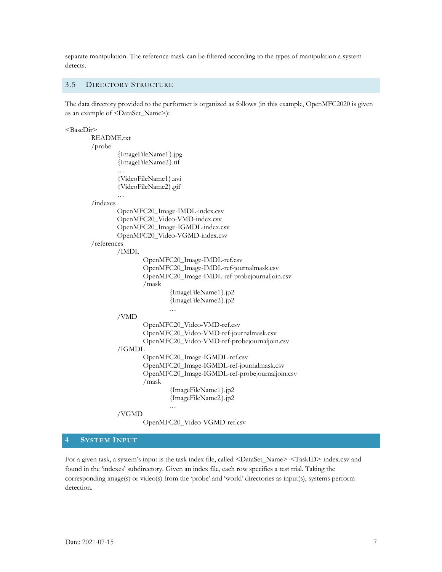separate manipulation. The reference mask can be filtered according to the types of manipulation a system detects.

#### 3.5 DIRECTORY STRUCTURE

The data directory provided to the performer is organized as follows (in this example, OpenMFC2020 is given as an example of <DataSet\_Name>):

<BaseDir>

```
README.txt
/probe
       {ImageFileName1}.jpg
       {ImageFileName2}.tif
       …
       {VideoFileName1}.avi
       {VideoFileName2}.gif
       …
/indexes
       OpenMFC20_Image-IMDL-index.csv
       OpenMFC20_Video-VMD-index.csv
       OpenMFC20_Image-IGMDL-index.csv
       OpenMFC20_Video-VGMD-index.csv
/references
       /IMDL
               OpenMFC20_Image-IMDL-ref.csv
               OpenMFC20_Image-IMDL-ref-journalmask.csv
               OpenMFC20_Image-IMDL-ref-probejournaljoin.csv
               /mask
                       {ImageFileName1}.jp2
                       {ImageFileName2}.jp2
                       …
       /VMD
               OpenMFC20_Video-VMD-ref.csv
               OpenMFC20_Video-VMD-ref-journalmask.csv
               OpenMFC20_Video-VMD-ref-probejournaljoin.csv
       /IGMDL
               OpenMFC20_Image-IGMDL-ref.csv
               OpenMFC20_Image-IGMDL-ref-journalmask.csv
               OpenMFC20_Image-IGMDL-ref-probejournaljoin.csv
               /mask
                       {ImageFileName1}.jp2
                       {ImageFileName2}.jp2
                       …
       /VGMD
               OpenMFC20_Video-VGMD-ref.csv
```
#### **4 SYSTEM INPUT**

For a given task, a system's input is the task index file, called <DataSet\_Name>-<TaskID>-index.csv and found in the 'indexes' subdirectory. Given an index file, each row specifies a test trial. Taking the corresponding image(s) or video(s) from the 'probe' and 'world' directories as input(s), systems perform detection.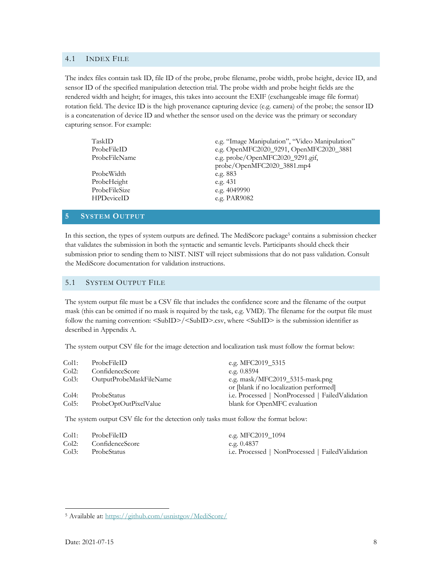#### 4.1 INDEX FILE

The index files contain task ID, file ID of the probe, probe filename, probe width, probe height, device ID, and sensor ID of the specified manipulation detection trial. The probe width and probe height fields are the rendered width and height; for images, this takes into account the EXIF (exchangeable image file format) rotation field. The device ID is the high provenance capturing device (e.g. camera) of the probe; the sensor ID is a concatenation of device ID and whether the sensor used on the device was the primary or secondary capturing sensor. For example:

| TaskID            | e.g. "Image Manipulation", "Video Manipulation" |  |  |
|-------------------|-------------------------------------------------|--|--|
| ProbeFileID       | e.g. OpenMFC2020_9291, OpenMFC2020_3881         |  |  |
| ProbeFileName     | e.g. probe/OpenMFC2020_9291.gif,                |  |  |
|                   | probe/OpenMFC2020_3881.mp4                      |  |  |
| ProbeWidth        | e.g. $883$                                      |  |  |
| ProbeHeight       | e.g. $431$                                      |  |  |
| ProbeFileSize     | e.g. 4049990                                    |  |  |
| <b>HPDeviceID</b> | e.g. PAR9082                                    |  |  |
|                   |                                                 |  |  |

#### **5 SYSTEM OUTPUT**

In this section, the types of system outputs are defined. The MediScore package<sup>5</sup> contains a submission checker that validates the submission in both the syntactic and semantic levels. Participants should check their submission prior to sending them to NIST. NIST will reject submissions that do not pass validation. Consult the MediScore documentation for validation instructions.

## 5.1 SYSTEM OUTPUT FILE

The system output file must be a CSV file that includes the confidence score and the filename of the output mask (this can be omitted if no mask is required by the task, e.g. VMD). The filename for the output file must follow the naming convention: <SubID>/<SubID>.csv, where <SubID> is the submission identifier as described in Appendix A.

The system output CSV file for the image detection and localization task must follow the format below:

| Col1:    | ProbeFileID             | e.g. MFC2019 5315                                |
|----------|-------------------------|--------------------------------------------------|
| $Col2$ : | ConfidenceScore         | e.g. $0.8594$                                    |
| Col3:    | OutputProbeMaskFileName | e.g. mask/MFC2019_5315-mask.png                  |
|          |                         | or [blank if no localization performed]          |
| Col4:    | ProbeStatus             | i.e. Processed   NonProcessed   FailedValidation |
| Col5:    | ProbeOptOutPixelValue   | blank for OpenMFC evaluation                     |

The system output CSV file for the detection only tasks must follow the format below:

| $Col1$ : | ProbeFileID                        | e.g. MFC2019 1094                                |
|----------|------------------------------------|--------------------------------------------------|
|          | Col <sub>2</sub> : ConfidenceScore | e.g. $0.4837$                                    |
| Col3:    | ProbeStatus                        | i.e. Processed   NonProcessed   FailedValidation |

<sup>5</sup> Available at: https://github.com/usnistgov/MediScore/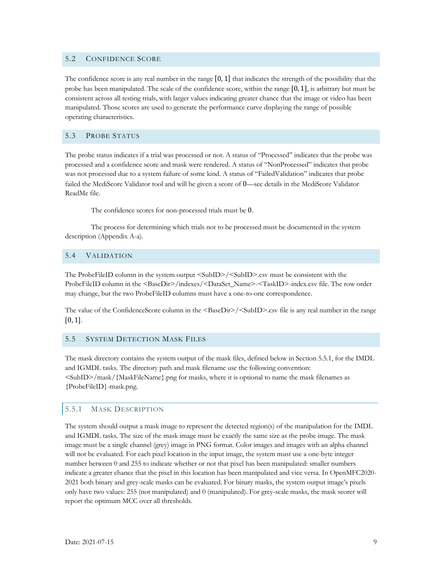## 5.2 CONFIDENCE SCORE

The confidence score is any real number in the range  $[0, 1]$  that indicates the strength of the possibility that the probe has been manipulated. The scale of the confidence score, within the range  $[0, 1]$ , is arbitrary but must be consistent across all testing trials, with larger values indicating greater chance that the image or video has been manipulated. Those scores are used to generate the performance curve displaying the range of possible operating characteristics.

## 5.3 PROBE STATUS

The probe status indicates if a trial was processed or not. A status of "Processed" indicates that the probe was processed and a confidence score and mask were rendered. A status of "NonProcessed" indicates that probe was not processed due to a system failure of some kind. A status of "FailedValidation" indicates that probe failed the MediScore Validator tool and will be given a score of 0—see details in the MediScore Validator ReadMe file.

The confidence scores for non-processed trials must be 0.

The process for determining which trials not to be processed must be documented in the system description (Appendix A-a).

#### 5.4 VALIDATION

The ProbeFileID column in the system output <SubID>/<SubID>.csv must be consistent with the ProbeFileID column in the <BaseDir>/indexes/<DataSet\_Name>-<TaskID>-index.csv file. The row order may change, but the two ProbeFileID columns must have a one-to-one correspondence.

The value of the ConfidenceScore column in the <BaseDir>/<SubID>.csv file is any real number in the range  $[0, 1]$ .

#### 5.5 SYSTEM DETECTION MASK FILES

The mask directory contains the system output of the mask files, defined below in Section 5.5.1, for the IMDL and IGMDL tasks. The directory path and mask filename use the following convention: <SubID>/mask/{MaskFileName}.png for masks, where it is optional to name the mask filenames as {ProbeFileID}-mask.png.

## 5.5.1 MASK DESCRIPTION

The system should output a mask image to represent the detected region(s) of the manipulation for the IMDL and IGMDL tasks. The size of the mask image must be exactly the same size as the probe image. The mask image must be a single channel (grey) image in PNG format. Color images and images with an alpha channel will not be evaluated. For each pixel location in the input image, the system must use a one-byte integer number between 0 and 255 to indicate whether or not that pixel has been manipulated: smaller numbers indicate a greater chance that the pixel in this location has been manipulated and vice versa. In OpenMFC2020- 2021 both binary and grey-scale masks can be evaluated. For binary masks, the system output image's pixels only have two values: 255 (not manipulated) and 0 (manipulated). For grey-scale masks, the mask scorer will report the optimum MCC over all thresholds.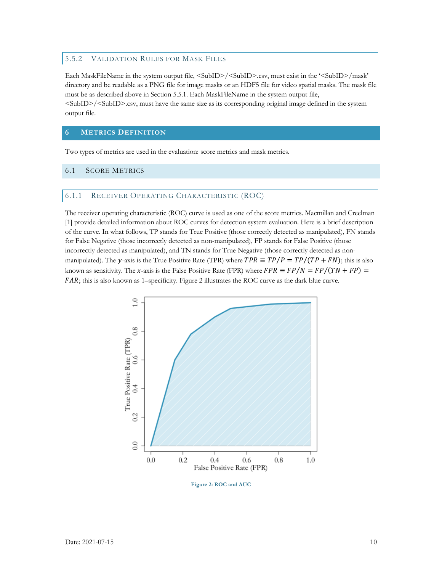## 5.5.2 VALIDATION RULES FOR MASK FILES

Each MaskFileName in the system output file, <SubID>/<SubID>.csv, must exist in the '<SubID>/mask' directory and be readable as a PNG file for image masks or an HDF5 file for video spatial masks. The mask file must be as described above in Section 5.5.1. Each MaskFileName in the system output file, <SubID>/<SubID>.csv, must have the same size as its corresponding original image defined in the system output file.

## **6 METRICS DEFINITION**

Two types of metrics are used in the evaluation: score metrics and mask metrics.

## 6.1 SCORE METRICS

#### 6.1.1 RECEIVER OPERATING CHARACTERISTIC (ROC)

The receiver operating characteristic (ROC) curve is used as one of the score metrics. Macmillan and Creelman [1] provide detailed information about ROC curves for detection system evaluation. Here is a brief description of the curve. In what follows, TP stands for True Positive (those correctly detected as manipulated), FN stands for False Negative (those incorrectly detected as non-manipulated), FP stands for False Positive (those incorrectly detected as manipulated), and TN stands for True Negative (those correctly detected as nonmanipulated). The y-axis is the True Positive Rate (TPR) where  $TPR \equiv TP/P = TP/(TP + FN)$ ; this is also known as sensitivity. The x-axis is the False Positive Rate (FPR) where  $FPR \equiv FP/N = FP/(TN + FP)$ FAR; this is also known as 1–specificity. Figure 2 illustrates the ROC curve as the dark blue curve.



**Figure 2: ROC and AUC**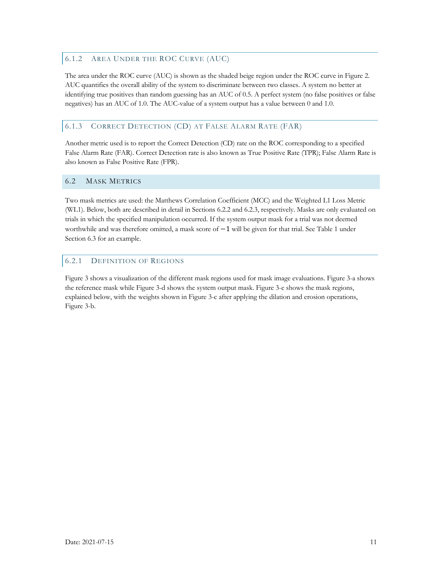## 6.1.2 AREA UNDER THE ROC CURVE (AUC)

The area under the ROC curve (AUC) is shown as the shaded beige region under the ROC curve in Figure 2. AUC quantifies the overall ability of the system to discriminate between two classes. A system no better at identifying true positives than random guessing has an AUC of 0.5. A perfect system (no false positives or false negatives) has an AUC of 1.0. The AUC-value of a system output has a value between 0 and 1.0.

# 6.1.3 CORRECT DETECTION (CD) AT FALSE ALARM RATE (FAR)

Another metric used is to report the Correct Detection (CD) rate on the ROC corresponding to a specified False Alarm Rate (FAR). Correct Detection rate is also known as True Positive Rate (TPR); False Alarm Rate is also known as False Positive Rate (FPR).

## 6.2 MASK METRICS

Two mask metrics are used: the Matthews Correlation Coefficient (MCC) and the Weighted L1 Loss Metric (WL1). Below, both are described in detail in Sections 6.2.2 and 6.2.3, respectively. Masks are only evaluated on trials in which the specified manipulation occurred. If the system output mask for a trial was not deemed worthwhile and was therefore omitted, a mask score of −1 will be given for that trial. See Table 1 under Section 6.3 for an example.

## 6.2.1 DEFINITION OF REGIONS

Figure 3 shows a visualization of the different mask regions used for mask image evaluations. Figure 3-a shows the reference mask while Figure 3-d shows the system output mask. Figure 3-e shows the mask regions, explained below, with the weights shown in Figure 3-c after applying the dilation and erosion operations, Figure 3-b.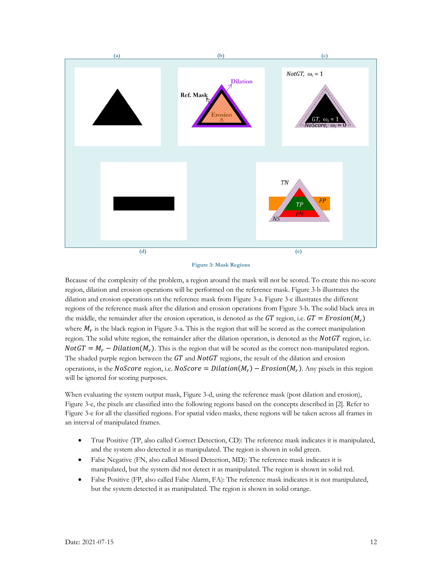



Because of the complexity of the problem, a region around the mask will not be scored. To create this no-score region, dilation and erosion operations will be performed on the reference mask. Figure 3-b illustrates the dilation and erosion operations on the reference mask from Figure 3-a. Figure 3-c illustrates the different regions of the reference mask after the dilation and erosion operations from Figure 3-b. The solid black area in the middle, the remainder after the erosion operation, is denoted as the GT region, i.e.  $GT = Erosion(M_r)$ where  $M_r$  is the black region in Figure 3-a. This is the region that will be scored as the correct manipulation region. The solid white region, the remainder after the dilation operation, is denoted as the  $NotGT$  region, i.e.  $NotGT = M_r - Dilation(M_r)$ . This is the region that will be scored as the correct non-manipulated region. The shaded purple region between the  $GT$  and  $NotGT$  regions, the result of the dilation and erosion operations, is the NoScore region, i.e. NoScore = Dilation( $M_r$ ) – Erosion( $M_r$ ). Any pixels in this region will be ignored for scoring purposes.

When evaluating the system output mask, Figure 3-d, using the reference mask (post dilation and erosion), Figure 3-e, the pixels are classified into the following regions based on the concepts described in [2]. Refer to Figure 3-e for all the classified regions. For spatial video masks, these regions will be taken across all frames in an interval of manipulated frames.

- True Positive (TP, also called Correct Detection, CD): The reference mask indicates it is manipulated, and the system also detected it as manipulated. The region is shown in solid green.
- False Negative (FN, also called Missed Detection, MD): The reference mask indicates it is manipulated, but the system did not detect it as manipulated. The region is shown in solid red.
- False Positive (FP, also called False Alarm, FA): The reference mask indicates it is not manipulated, but the system detected it as manipulated. The region is shown in solid orange.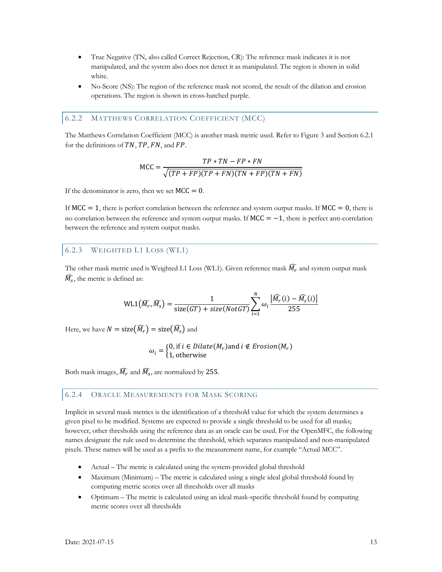- True Negative (TN, also called Correct Rejection, CR): The reference mask indicates it is not manipulated, and the system also does not detect it as manipulated. The region is shown in solid white.
- No-Score (NS): The region of the reference mask not scored, the result of the dilation and erosion operations. The region is shown in cross-hatched purple.

#### 6.2.2 MATTHEWS CORRELATION COEFFICIENT (MCC)

The Matthews Correlation Coefficient (MCC) is another mask metric used. Refer to Figure 3 and Section 6.2.1 for the definitions of  $TN$ ,  $TP$ ,  $FN$ , and  $FP$ .

$$
MCC = \frac{TP * TN - FP * FN}{\sqrt{(TP + FP)(TP + FN)(TN + FP)(TN + FN)}}
$$

If the denominator is zero, then we set  $MCC = 0$ .

If MCC = 1, there is perfect correlation between the reference and system output masks. If MCC = 0, there is no correlation between the reference and system output masks. If  $MCC = -1$ , there is perfect anti-correlation between the reference and system output masks.

#### 6.2.3 WEIGHTED L1 LOSS (WL1)

The other mask metric used is Weighted L1 Loss (WL1). Given reference mask  $\widehat{M_r}$  and system output mask  $\widehat{M}_{\mathcal{S}}$ , the metric is defined as:

$$
\text{WL1}\left(\widehat{M_r}, \widehat{M_s}\right) = \frac{1}{\text{size}(GT) + \text{size}(NotGT)} \sum_{i=1}^{N} \omega_i \frac{\left|\widehat{M_r}(i) - \widehat{M_s}(i)\right|}{255}
$$

Here, we have  $N = \mathop{\rm size}\nolimits\bigl(\widehat{M_r}\bigr) = \mathop{\rm size}\nolimits\bigl(\widehat{M_s}\bigr)$  and

$$
\omega_i = \begin{cases} 0, \text{ if } i \in Dilate(M_r) \text{ and } i \notin Erosion(M_r) \\ 1, \text{ otherwise} \end{cases}
$$

Both mask images,  $\widehat{M_r}$  and  $\widehat{M_s}$ , are normalized by 255.

## 6.2.4 ORACLE MEASUREMENTS FOR MASK SCORING

Implicit in several mask metrics is the identification of a threshold value for which the system determines a given pixel to be modified. Systems are expected to provide a single threshold to be used for all masks; however, other thresholds using the reference data as an oracle can be used. For the OpenMFC, the following names designate the rule used to determine the threshold, which separates manipulated and non-manipulated pixels. These names will be used as a prefix to the measurement name, for example "Actual MCC".

- Actual The metric is calculated using the system-provided global threshold
- Maximum (Minimum) The metric is calculated using a single ideal global threshold found by computing metric scores over all thresholds over all masks
- Optimum The metric is calculated using an ideal mask-specific threshold found by computing metric scores over all thresholds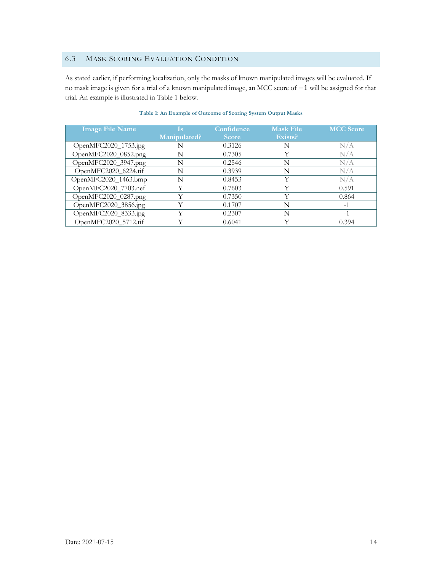## 6.3 MASK SCORING EVALUATION CONDITION

As stated earlier, if performing localization, only the masks of known manipulated images will be evaluated. If no mask image is given for a trial of a known manipulated image, an MCC score of −1 will be assigned for that trial. An example is illustrated in Table 1 below.

| <b>Image File Name</b> | l si         | Confidence   | <b>Mask File</b> | <b>MCC Score</b> |
|------------------------|--------------|--------------|------------------|------------------|
|                        | Manipulated? | <b>Score</b> | Exists?          |                  |
| OpenMFC2020_1753.jpg   | N            | 0.3126       | N                | N/A              |
| OpenMFC2020_0852.png   | N            | 0.7305       | Y                | N/A              |
| OpenMFC2020_3947.png   | N            | 0.2546       | N                | N/A              |
| OpenMFC2020_6224.tif   | N            | 0.3939       | N                | N/A              |
| OpenMFC2020_1463.bmp   | N            | 0.8453       | Y                | N/A              |
| OpenMFC2020_7703.nef   | V            | 0.7603       | Y                | 0.591            |
| OpenMFC2020_0287.png   |              | 0.7350       | Y                | 0.864            |
| OpenMFC2020_3856.jpg   |              | 0.1707       | N                | $-1$             |
| OpenMFC2020_8333.jpg   |              | 0.2307       | N                | $-1$             |
| OpenMFC2020 5712.tif   |              | 0.6041       | v                | 0.394            |

#### **Table 1: An Example of Outcome of Scoring System Output Masks**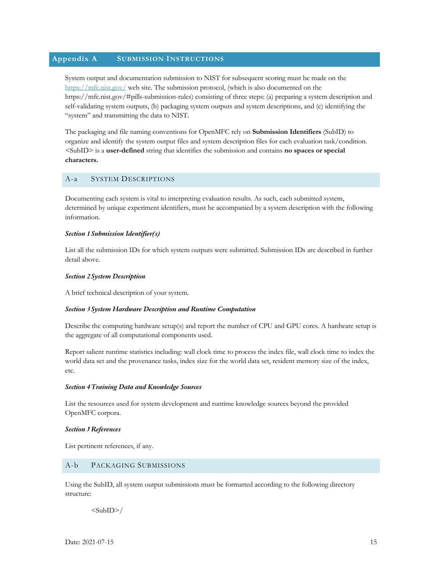## **Appendix A SUBMISSION INSTRUCTIONS**

System output and documentation submission to NIST for subsequent scoring must be made on the https://mfc.nist.gov/ web site. The submission protocol, (which is also documented on the https://mfc.nist.gov/#pills-submission-rules) consisting of three steps: (a) preparing a system description and self-validating system outputs, (b) packaging system outputs and system descriptions, and (c) identifying the "system" and transmitting the data to NIST.

The packaging and file naming conventions for OpenMFC rely on **Submission Identifiers** (SubID) to organize and identify the system output files and system description files for each evaluation task/condition. <SubID> is a **user-defined** string that identifies the submission and contains **no spaces or special characters.**

#### A-a SYSTEM DESCRIPTIONS

Documenting each system is vital to interpreting evaluation results. As such, each submitted system, determined by unique experiment identifiers, must be accompanied by a system description with the following information.

#### *Section 1Submission Identifier(s)*

List all the submission IDs for which system outputs were submitted. Submission IDs are described in further detail above.

#### *Section 2System Description*

A brief technical description of your system.

#### *Section 3System Hardware Description and Runtime Computation*

Describe the computing hardware setup(s) and report the number of CPU and GPU cores. A hardware setup is the aggregate of all computational components used.

Report salient runtime statistics including: wall clock time to process the index file, wall clock time to index the world data set and the provenance tasks, index size for the world data set, resident memory size of the index, etc.

#### *Section 4Training Data and Knowledge Sources*

List the resources used for system development and runtime knowledge sources beyond the provided OpenMFC corpora.

#### *Section 5References*

List pertinent references, if any.

#### A-b PACKAGING SUBMISSIONS

Using the SubID, all system output submissions must be formatted according to the following directory structure:

 $<sub>SubID></sub>$ </sub>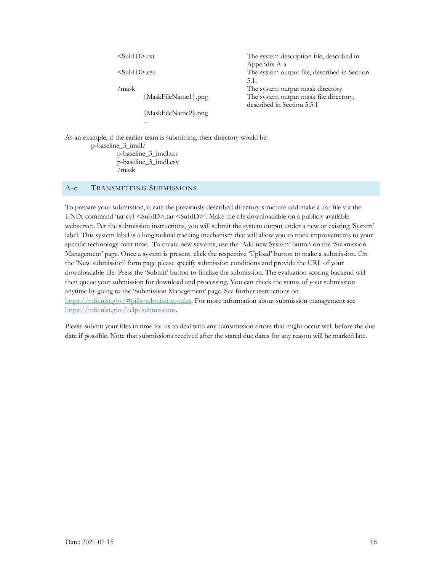<SubID>.txt The system description file, described in Appendix A-a <SubID>.csv The system output file, described in Section 5.1. /mask The system output mask directory {MaskFileName1}.png The system output mask file directory, described in Section 5.5.1 {MaskFileName2}.png …

As an example, if the earlier team is submitting, their directory would be: p-baseline\_3\_imdl/ p-baseline\_3\_imdl.txt p-baseline\_3\_imdl.csv /mask

#### A-c TRANSMITTING SUBMISSIONS

To prepare your submission, create the previously described directory structure and make a .tar file via the UNIX command 'tar cvf <SubID>.tar <SubID>'. Make the file downloadable on a publicly available webserver. Per the submission instructions, you will submit the system output under a new or existing 'System' label. This system label is a longitudinal tracking mechanism that will allow you to track improvements to your specific technology over time. To create new systems, use the 'Add new System' button on the 'Submission Management' page. Once a system is present, click the respective 'Upload' button to make a submission. On the 'New submission' form page please specify submission conditions and provide the URL of your downloadable file. Press the 'Submit' button to finalize the submission. The evaluation scoring backend will then queue your submission for download and processing. You can check the status of your submission anytime by going to the 'Submission Management' page. See further instructions on https://mfc.nist.gov/#pills-submission-rules. For more information about submission management see https://mfc.nist.gov/help/submissions.

Please submit your files in time for us to deal with any transmission errors that might occur well before the due date if possible. Note that submissions received after the stated due dates for any reason will be marked late.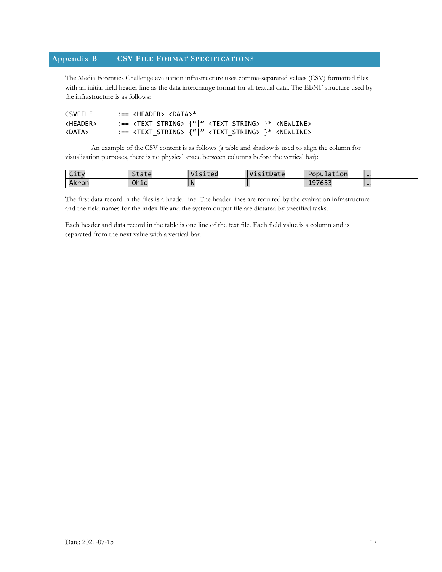# **Appendix B CSV FILE FORMAT SPECIFICATIONS**

The Media Forensics Challenge evaluation infrastructure uses comma-separated values (CSV) formatted files with an initial field header line as the data interchange format for all textual data. The EBNF structure used by the infrastructure is as follows:

| <b>CSVFILE</b>    | :== <header> <data>*</data></header>                                                |
|-------------------|-------------------------------------------------------------------------------------|
| <header></header> | :== <text string=""> {" " <text string=""> }* <newline></newline></text></text>     |
| <data></data>     | :== <text string=""> {" " <text_string> }* <newline></newline></text_string></text> |

An example of the CSV content is as follows (a table and shadow is used to align the column for visualization purposes, there is no physical space between columns before the vertical bar):

| $C \div 4$<br>City | $\sim$ $\sim$<br><u>ld le</u> | $\cdots$<br>_sited<br>v | $\cdots$<br>sitDate | <b>IPopulation</b> | $\overline{\phantom{a}}$ |
|--------------------|-------------------------------|-------------------------|---------------------|--------------------|--------------------------|
| Akron              | Ohio                          | . IV                    |                     | 107027<br>,197633  | $\overline{\phantom{a}}$ |

The first data record in the files is a header line. The header lines are required by the evaluation infrastructure and the field names for the index file and the system output file are dictated by specified tasks.

Each header and data record in the table is one line of the text file. Each field value is a column and is separated from the next value with a vertical bar.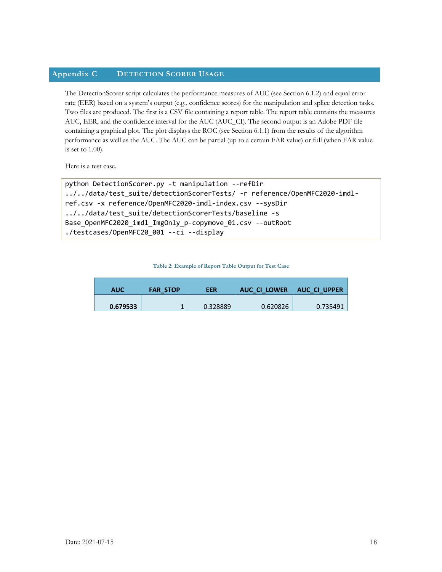## **Appendix C DETECTION SCORER USAGE**

The DetectionScorer script calculates the performance measures of AUC (see Section 6.1.2) and equal error rate (EER) based on a system's output (e.g., confidence scores) for the manipulation and splice detection tasks. Two files are produced. The first is a CSV file containing a report table. The report table contains the measures AUC, EER, and the confidence interval for the AUC (AUC\_CI). The second output is an Adobe PDF file containing a graphical plot. The plot displays the ROC (see Section 6.1.1) from the results of the algorithm performance as well as the AUC. The AUC can be partial (up to a certain FAR value) or full (when FAR value is set to 1.00).

Here is a test case.

```
python DetectionScorer.py -t manipulation --refDir 
../../data/test_suite/detectionScorerTests/ -r reference/OpenMFC2020-imdl-
ref.csv -x reference/OpenMFC2020-imdl-index.csv --sysDir 
../../data/test_suite/detectionScorerTests/baseline -s
Base_OpenMFC2020_imdl_ImgOnly_p-copymove_01.csv --outRoot 
./testcases/OpenMFC20_001 --ci --display
```
**Table 2: Example of Report Table Output for Test Case**

| AUC      | <b>FAR STOP</b> | EER      | AUC CI LOWER | <b>AUC CI UPPER</b> |
|----------|-----------------|----------|--------------|---------------------|
| 0.679533 |                 | 0.328889 | 0.620826     | 0.735491            |